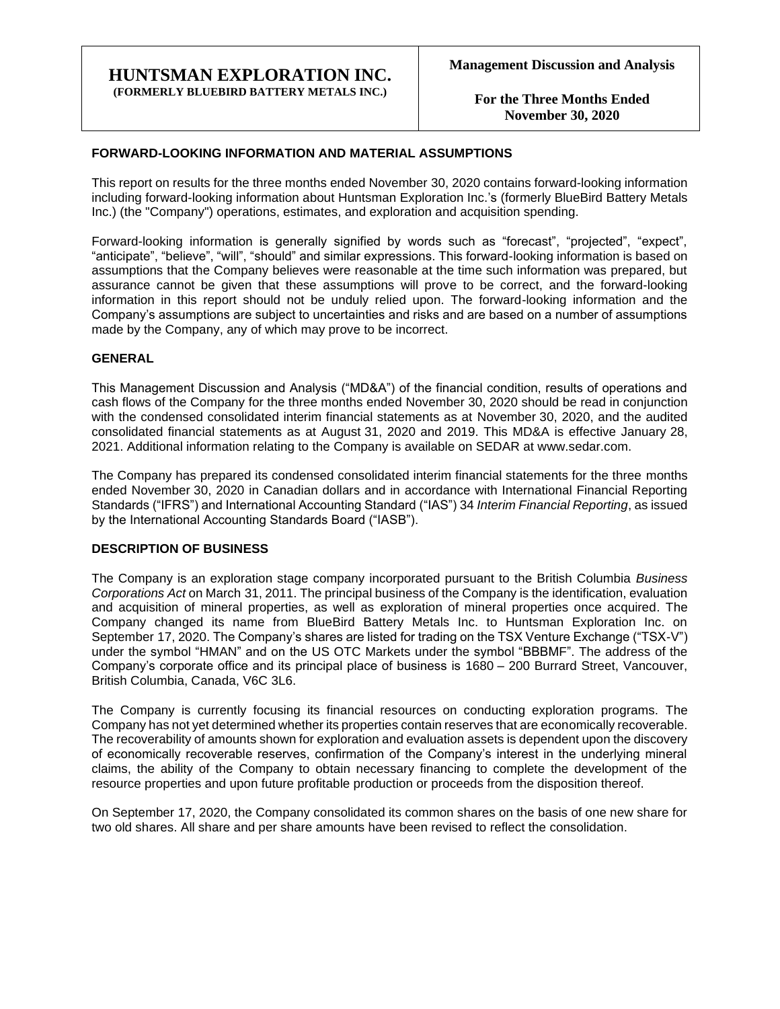### **HUNTSMAN EXPLORATION INC. (FORMERLY BLUEBIRD BATTERY METALS INC.)**

**For the Three Months Ended November 30, 2020**

### **FORWARD-LOOKING INFORMATION AND MATERIAL ASSUMPTIONS**

This report on results for the three months ended November 30, 2020 contains forward-looking information including forward-looking information about Huntsman Exploration Inc.'s (formerly BlueBird Battery Metals Inc.) (the "Company") operations, estimates, and exploration and acquisition spending.

Forward-looking information is generally signified by words such as "forecast", "projected", "expect", "anticipate", "believe", "will", "should" and similar expressions. This forward-looking information is based on assumptions that the Company believes were reasonable at the time such information was prepared, but assurance cannot be given that these assumptions will prove to be correct, and the forward-looking information in this report should not be unduly relied upon. The forward-looking information and the Company's assumptions are subject to uncertainties and risks and are based on a number of assumptions made by the Company, any of which may prove to be incorrect.

### **GENERAL**

This Management Discussion and Analysis ("MD&A") of the financial condition, results of operations and cash flows of the Company for the three months ended November 30, 2020 should be read in conjunction with the condensed consolidated interim financial statements as at November 30, 2020, and the audited consolidated financial statements as at August 31, 2020 and 2019. This MD&A is effective January 28, 2021. Additional information relating to the Company is available on SEDAR at www.sedar.com.

The Company has prepared its condensed consolidated interim financial statements for the three months ended November 30, 2020 in Canadian dollars and in accordance with International Financial Reporting Standards ("IFRS") and International Accounting Standard ("IAS") 34 *Interim Financial Reporting*, as issued by the International Accounting Standards Board ("IASB").

#### **DESCRIPTION OF BUSINESS**

The Company is an exploration stage company incorporated pursuant to the British Columbia *Business Corporations Act* on March 31, 2011. The principal business of the Company is the identification, evaluation and acquisition of mineral properties, as well as exploration of mineral properties once acquired. The Company changed its name from BlueBird Battery Metals Inc. to Huntsman Exploration Inc. on September 17, 2020. The Company's shares are listed for trading on the TSX Venture Exchange ("TSX-V") under the symbol "HMAN" and on the US OTC Markets under the symbol "BBBMF". The address of the Company's corporate office and its principal place of business is 1680 – 200 Burrard Street, Vancouver, British Columbia, Canada, V6C 3L6.

The Company is currently focusing its financial resources on conducting exploration programs. The Company has not yet determined whether its properties contain reserves that are economically recoverable. The recoverability of amounts shown for exploration and evaluation assets is dependent upon the discovery of economically recoverable reserves, confirmation of the Company's interest in the underlying mineral claims, the ability of the Company to obtain necessary financing to complete the development of the resource properties and upon future profitable production or proceeds from the disposition thereof.

On September 17, 2020, the Company consolidated its common shares on the basis of one new share for two old shares. All share and per share amounts have been revised to reflect the consolidation.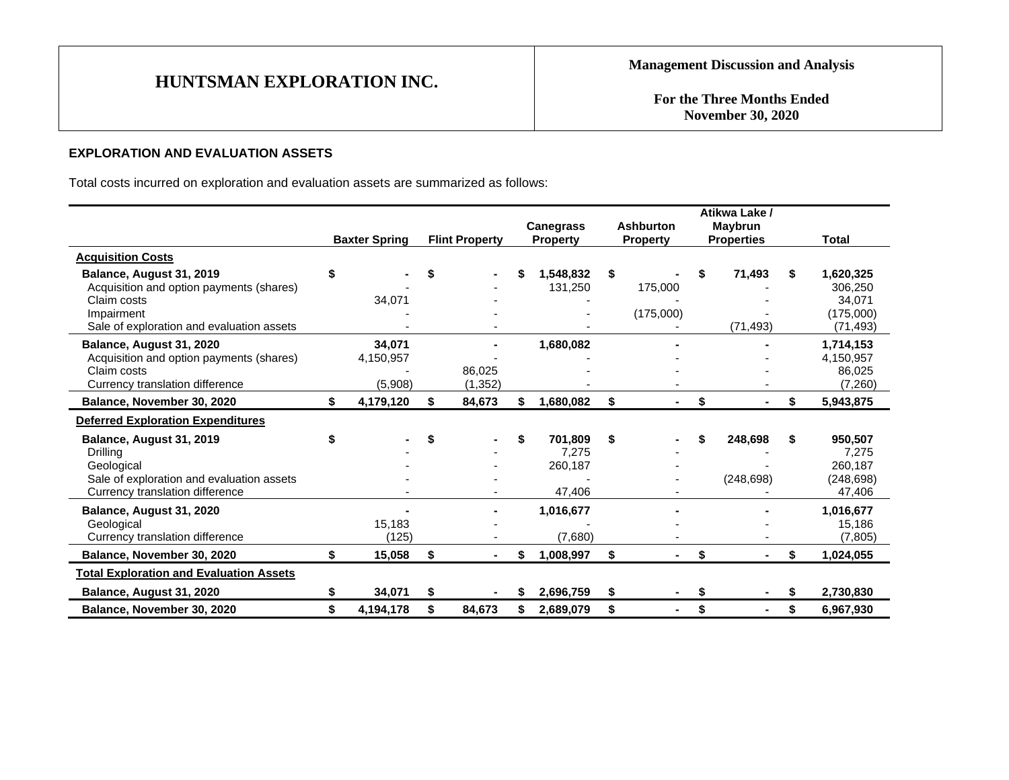**For the Three Months Ended November 30, 2020**

# **EXPLORATION AND EVALUATION ASSETS**

Total costs incurred on exploration and evaluation assets are summarized as follows:

|                                                                                                                                                |                                |                       |    | <b>Canegrass</b>                      | <b>Ashburton</b>           |    | Atikwa Lake /<br>Maybrun |    |                                                          |
|------------------------------------------------------------------------------------------------------------------------------------------------|--------------------------------|-----------------------|----|---------------------------------------|----------------------------|----|--------------------------|----|----------------------------------------------------------|
|                                                                                                                                                | <b>Baxter Spring</b>           | <b>Flint Property</b> |    | <b>Property</b>                       | <b>Property</b>            |    | <b>Properties</b>        |    | Total                                                    |
| <b>Acquisition Costs</b>                                                                                                                       |                                |                       |    |                                       |                            |    |                          |    |                                                          |
| Balance, August 31, 2019<br>Acquisition and option payments (shares)<br>Claim costs<br>Impairment<br>Sale of exploration and evaluation assets | \$<br>34,071                   |                       |    | 1.548.832<br>131,250                  | \$<br>175,000<br>(175,000) | S  | 71,493<br>(71, 493)      | S  | 1,620,325<br>306,250<br>34,071<br>(175,000)<br>(71, 493) |
| Balance, August 31, 2020<br>Acquisition and option payments (shares)<br>Claim costs<br>Currency translation difference                         | 34,071<br>4,150,957<br>(5,908) | 86.025<br>(1, 352)    |    | 1,680,082                             |                            |    |                          |    | 1,714,153<br>4,150,957<br>86,025<br>(7,260)              |
| Balance, November 30, 2020                                                                                                                     | 4,179,120                      | 84,673                | S. | 1,680,082                             | \$                         | \$ |                          | \$ | 5,943,875                                                |
| <b>Deferred Exploration Expenditures</b>                                                                                                       |                                |                       |    |                                       |                            |    |                          |    |                                                          |
| Balance, August 31, 2019<br>Drilling<br>Geological<br>Sale of exploration and evaluation assets<br>Currency translation difference             |                                |                       | \$ | 701,809<br>7,275<br>260,187<br>47,406 | \$                         | \$ | 248,698<br>(248, 698)    | S  | 950,507<br>7,275<br>260,187<br>(248, 698)<br>47,406      |
| Balance, August 31, 2020<br>Geological<br>Currency translation difference                                                                      | 15,183<br>(125)                |                       |    | 1,016,677<br>(7,680)                  |                            |    |                          |    | 1,016,677<br>15,186<br>(7, 805)                          |
| Balance, November 30, 2020                                                                                                                     | \$<br>15,058                   | \$                    | \$ | 1,008,997                             | \$                         | \$ | ۰.                       | \$ | 1,024,055                                                |
| <b>Total Exploration and Evaluation Assets</b>                                                                                                 |                                |                       |    |                                       |                            |    |                          |    |                                                          |
| Balance, August 31, 2020                                                                                                                       | 34,071                         |                       | S. | 2,696,759                             | \$                         | S  |                          |    | 2,730,830                                                |
| Balance, November 30, 2020                                                                                                                     | \$<br>4,194,178                | 84,673                | S. | 2,689,079                             | \$<br>$\blacksquare$       | \$ | Ξ.                       | \$ | 6,967,930                                                |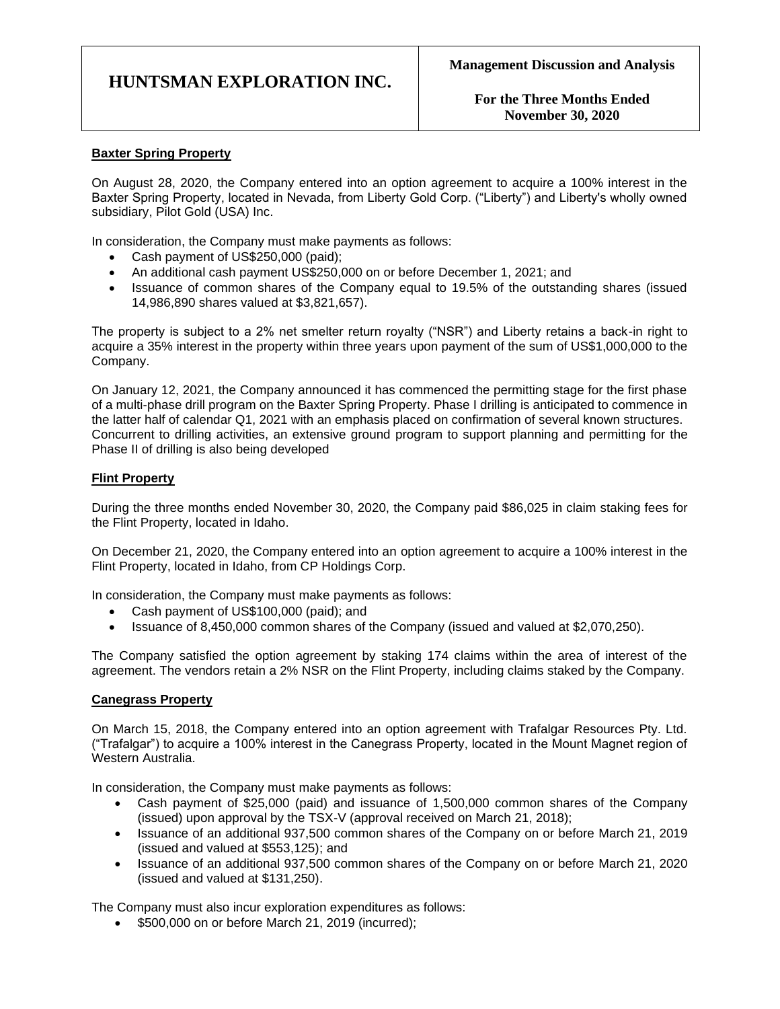**For the Three Months Ended November 30, 2020**

## **Baxter Spring Property**

On August 28, 2020, the Company entered into an option agreement to acquire a 100% interest in the Baxter Spring Property, located in Nevada, from Liberty Gold Corp. ("Liberty") and Liberty's wholly owned subsidiary, Pilot Gold (USA) Inc.

In consideration, the Company must make payments as follows:

- Cash payment of US\$250,000 (paid);
- An additional cash payment US\$250,000 on or before December 1, 2021; and
- Issuance of common shares of the Company equal to 19.5% of the outstanding shares (issued 14,986,890 shares valued at \$3,821,657).

The property is subject to a 2% net smelter return royalty ("NSR") and Liberty retains a back-in right to acquire a 35% interest in the property within three years upon payment of the sum of US\$1,000,000 to the Company.

On January 12, 2021, the Company announced it has commenced the permitting stage for the first phase of a multi-phase drill program on the Baxter Spring Property. Phase I drilling is anticipated to commence in the latter half of calendar Q1, 2021 with an emphasis placed on confirmation of several known structures. Concurrent to drilling activities, an extensive ground program to support planning and permitting for the Phase II of drilling is also being developed

### **Flint Property**

During the three months ended November 30, 2020, the Company paid \$86,025 in claim staking fees for the Flint Property, located in Idaho.

On December 21, 2020, the Company entered into an option agreement to acquire a 100% interest in the Flint Property, located in Idaho, from CP Holdings Corp.

In consideration, the Company must make payments as follows:

- Cash payment of US\$100,000 (paid); and
- Issuance of 8,450,000 common shares of the Company (issued and valued at \$2,070,250).

The Company satisfied the option agreement by staking 174 claims within the area of interest of the agreement. The vendors retain a 2% NSR on the Flint Property, including claims staked by the Company.

#### **Canegrass Property**

On March 15, 2018, the Company entered into an option agreement with Trafalgar Resources Pty. Ltd. ("Trafalgar") to acquire a 100% interest in the Canegrass Property, located in the Mount Magnet region of Western Australia.

In consideration, the Company must make payments as follows:

- Cash payment of \$25,000 (paid) and issuance of 1,500,000 common shares of the Company (issued) upon approval by the TSX-V (approval received on March 21, 2018);
- Issuance of an additional 937,500 common shares of the Company on or before March 21, 2019 (issued and valued at \$553,125); and
- Issuance of an additional 937,500 common shares of the Company on or before March 21, 2020 (issued and valued at \$131,250).

The Company must also incur exploration expenditures as follows:

• \$500,000 on or before March 21, 2019 (incurred);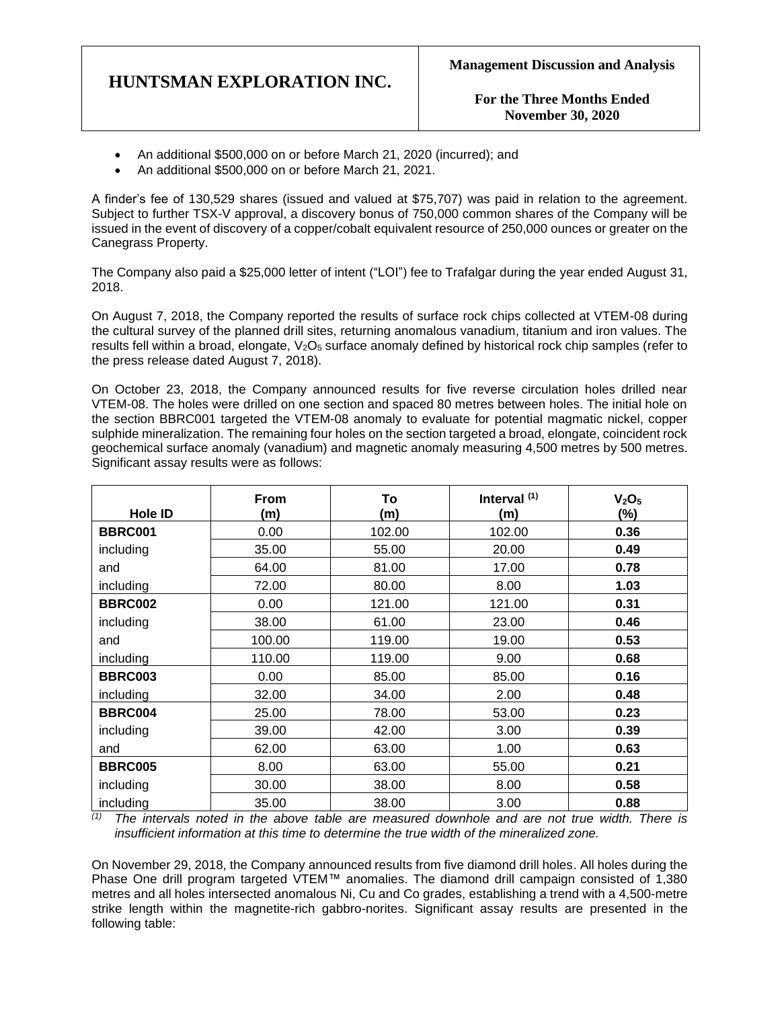**For the Three Months Ended November 30, 2020**

- An additional \$500,000 on or before March 21, 2020 (incurred); and
- An additional \$500,000 on or before March 21, 2021.

A finder's fee of 130,529 shares (issued and valued at \$75,707) was paid in relation to the agreement. Subject to further TSX-V approval, a discovery bonus of 750,000 common shares of the Company will be issued in the event of discovery of a copper/cobalt equivalent resource of 250,000 ounces or greater on the Canegrass Property.

The Company also paid a \$25,000 letter of intent ("LOI") fee to Trafalgar during the year ended August 31, 2018.

On August 7, 2018, the Company reported the results of surface rock chips collected at VTEM-08 during the cultural survey of the planned drill sites, returning anomalous vanadium, titanium and iron values. The results fell within a broad, elongate, V<sub>2</sub>O<sub>5</sub> surface anomaly defined by historical rock chip samples (refer to the press release dated August 7, 2018).

On October 23, 2018, the Company announced results for five reverse circulation holes drilled near VTEM-08. The holes were drilled on one section and spaced 80 metres between holes. The initial hole on the section BBRC001 targeted the VTEM-08 anomaly to evaluate for potential magmatic nickel, copper sulphide mineralization. The remaining four holes on the section targeted a broad, elongate, coincident rock geochemical surface anomaly (vanadium) and magnetic anomaly measuring 4,500 metres by 500 metres. Significant assay results were as follows:

| <b>Hole ID</b> | <b>From</b><br>(m) | To<br>(m)    | Interval <sup>(1)</sup><br>(m) | V <sub>2</sub> O <sub>5</sub><br>$(\%)$ |
|----------------|--------------------|--------------|--------------------------------|-----------------------------------------|
| <b>BBRC001</b> | 0.00               | 102.00       | 102.00                         | 0.36                                    |
| including      | 35.00              | 55.00        | 20.00                          | 0.49                                    |
| and            | 64.00              | 81.00        | 17.00                          | 0.78                                    |
| including      | 72.00              | 80.00        | 8.00                           | 1.03                                    |
| <b>BBRC002</b> | 0.00               | 121.00       | 121.00                         | 0.31                                    |
| including      | 38.00              | 61.00        | 23.00                          | 0.46                                    |
| and            | 100.00             | 119.00       | 19.00                          | 0.53                                    |
| including      | 110.00             | 119.00       | 9.00                           | 0.68                                    |
| <b>BBRC003</b> | 0.00               | 85.00        | 85.00                          | 0.16                                    |
| including      | 32.00              | 34.00        | 2.00                           | 0.48                                    |
| <b>BBRC004</b> | 25.00              | 78.00        | 53.00                          | 0.23                                    |
| including      | 39.00              | 42.00        | 3.00                           | 0.39                                    |
| and            | 62.00              | 63.00        | 1.00                           | 0.63                                    |
| <b>BBRC005</b> | 8.00               | 63.00        | 55.00                          | 0.21                                    |
| including      | 30.00              | 38.00        | 8.00                           | 0.58                                    |
| including      | 35.00              | 38.00<br>. . | 3.00                           | 0.88                                    |

*(1) The intervals noted in the above table are measured downhole and are not true width. There is insufficient information at this time to determine the true width of the mineralized zone.*

On November 29, 2018, the Company announced results from five diamond drill holes. All holes during the Phase One drill program targeted VTEM™ anomalies. The diamond drill campaign consisted of 1,380 metres and all holes intersected anomalous Ni, Cu and Co grades, establishing a trend with a 4,500-metre strike length within the magnetite-rich gabbro-norites. Significant assay results are presented in the following table: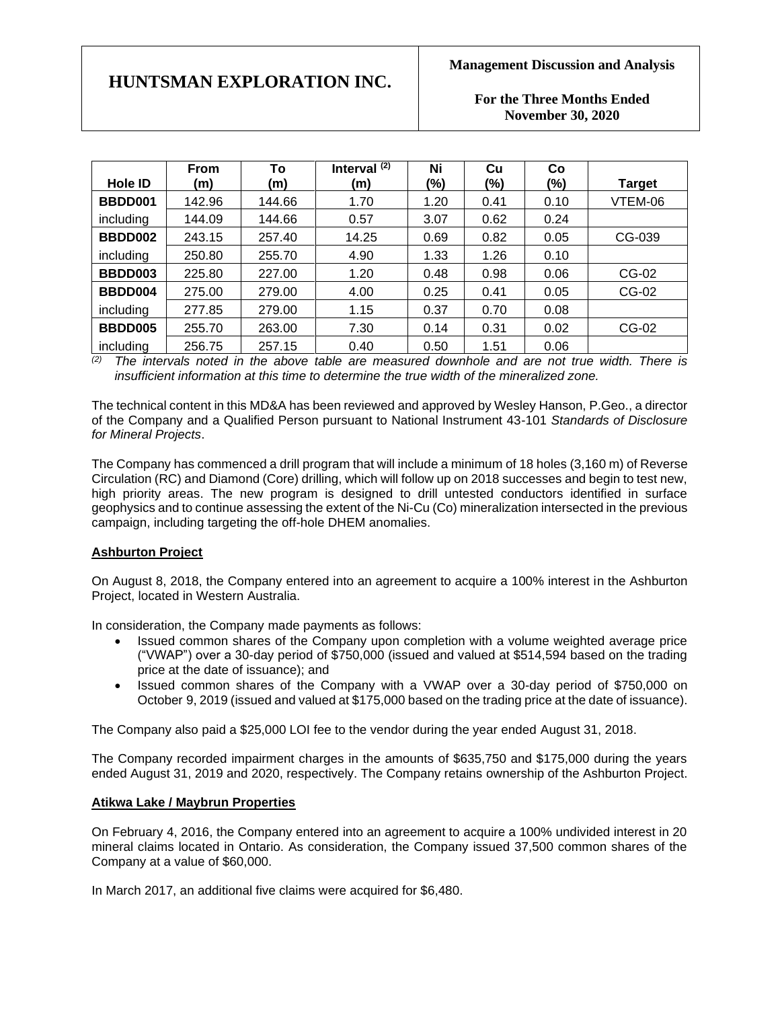# **For the Three Months Ended November 30, 2020**

|           | <b>From</b> | To     | Interval $(2)$ | Ni   | Cu   | Co   |               |
|-----------|-------------|--------|----------------|------|------|------|---------------|
| Hole ID   | (m)         | (m)    | (m)            | (%)  | (%)  | (%)  | <b>Target</b> |
| BBDD001   | 142.96      | 144.66 | 1.70           | 1.20 | 0.41 | 0.10 | VTEM-06       |
| including | 144.09      | 144.66 | 0.57           | 3.07 | 0.62 | 0.24 |               |
| BBDD002   | 243.15      | 257.40 | 14.25          | 0.69 | 0.82 | 0.05 | CG-039        |
| including | 250.80      | 255.70 | 4.90           | 1.33 | 1.26 | 0.10 |               |
| BBDD003   | 225.80      | 227.00 | 1.20           | 0.48 | 0.98 | 0.06 | CG-02         |
| BBDD004   | 275.00      | 279.00 | 4.00           | 0.25 | 0.41 | 0.05 | CG-02         |
| including | 277.85      | 279.00 | 1.15           | 0.37 | 0.70 | 0.08 |               |
| BBDD005   | 255.70      | 263.00 | 7.30           | 0.14 | 0.31 | 0.02 | CG-02         |
| including | 256.75      | 257.15 | 0.40           | 0.50 | 1.51 | 0.06 |               |

*(2) The intervals noted in the above table are measured downhole and are not true width. There is insufficient information at this time to determine the true width of the mineralized zone.*

The technical content in this MD&A has been reviewed and approved by Wesley Hanson, P.Geo., a director of the Company and a Qualified Person pursuant to National Instrument 43-101 *Standards of Disclosure for Mineral Projects*.

The Company has commenced a drill program that will include a minimum of 18 holes (3,160 m) of Reverse Circulation (RC) and Diamond (Core) drilling, which will follow up on 2018 successes and begin to test new, high priority areas. The new program is designed to drill untested conductors identified in surface geophysics and to continue assessing the extent of the Ni-Cu (Co) mineralization intersected in the previous campaign, including targeting the off-hole DHEM anomalies.

## **Ashburton Project**

On August 8, 2018, the Company entered into an agreement to acquire a 100% interest in the Ashburton Project, located in Western Australia.

In consideration, the Company made payments as follows:

- Issued common shares of the Company upon completion with a volume weighted average price ("VWAP") over a 30-day period of \$750,000 (issued and valued at \$514,594 based on the trading price at the date of issuance); and
- Issued common shares of the Company with a VWAP over a 30-day period of \$750,000 on October 9, 2019 (issued and valued at \$175,000 based on the trading price at the date of issuance).

The Company also paid a \$25,000 LOI fee to the vendor during the year ended August 31, 2018.

The Company recorded impairment charges in the amounts of \$635,750 and \$175,000 during the years ended August 31, 2019 and 2020, respectively. The Company retains ownership of the Ashburton Project.

# **Atikwa Lake / Maybrun Properties**

On February 4, 2016, the Company entered into an agreement to acquire a 100% undivided interest in 20 mineral claims located in Ontario. As consideration, the Company issued 37,500 common shares of the Company at a value of \$60,000.

In March 2017, an additional five claims were acquired for \$6,480.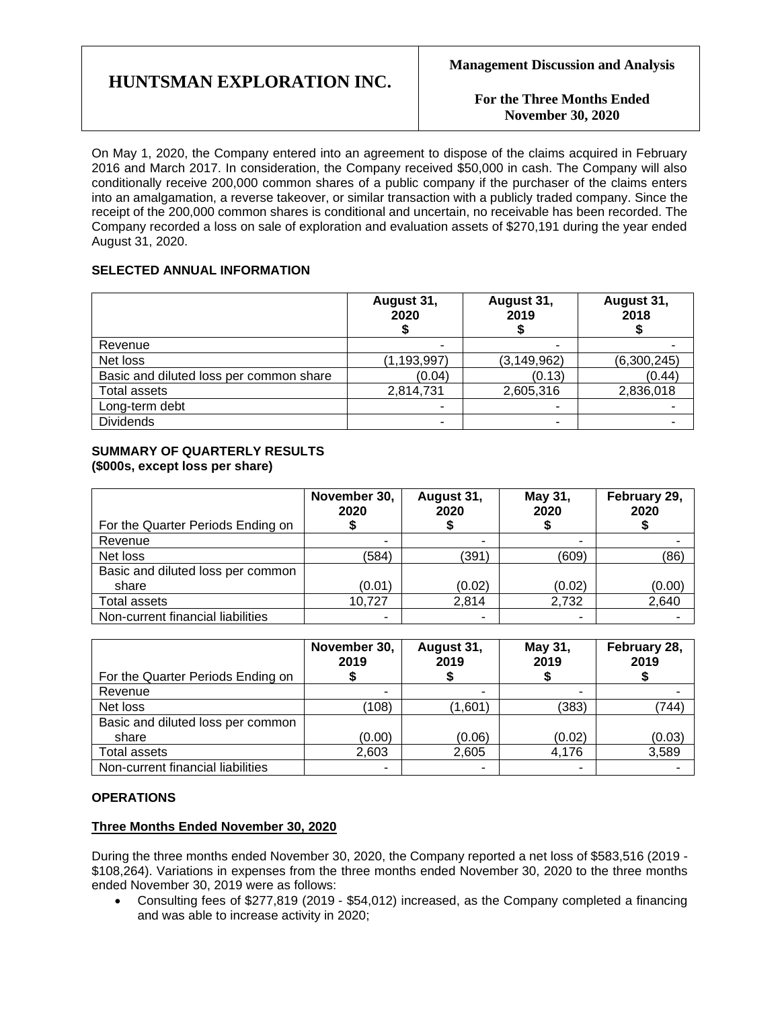**For the Three Months Ended November 30, 2020**

On May 1, 2020, the Company entered into an agreement to dispose of the claims acquired in February 2016 and March 2017. In consideration, the Company received \$50,000 in cash. The Company will also conditionally receive 200,000 common shares of a public company if the purchaser of the claims enters into an amalgamation, a reverse takeover, or similar transaction with a publicly traded company. Since the receipt of the 200,000 common shares is conditional and uncertain, no receivable has been recorded. The Company recorded a loss on sale of exploration and evaluation assets of \$270,191 during the year ended August 31, 2020.

# **SELECTED ANNUAL INFORMATION**

|                                         | August 31,<br>2020 | August 31,<br>2019 | August 31,<br>2018 |
|-----------------------------------------|--------------------|--------------------|--------------------|
| Revenue                                 |                    |                    |                    |
| Net loss                                | (1, 193, 997)      | (3, 149, 962)      | (6,300,245)        |
| Basic and diluted loss per common share | (0.04)             | (0.13)             | (0.44)             |
| <b>Total assets</b>                     | 2,814,731          | 2,605,316          | 2,836,018          |
| Long-term debt                          |                    |                    |                    |
| <b>Dividends</b>                        | -                  |                    |                    |

# **SUMMARY OF QUARTERLY RESULTS (\$000s, except loss per share)**

|                                   | November 30,<br>2020 | August 31,<br>2020 | May 31,<br>2020 | February 29,<br>2020 |
|-----------------------------------|----------------------|--------------------|-----------------|----------------------|
| For the Quarter Periods Ending on |                      |                    |                 |                      |
| Revenue                           | ۰                    | ۰                  |                 |                      |
| Net loss                          | (584)                | (391)              | (609)           | (86)                 |
| Basic and diluted loss per common |                      |                    |                 |                      |
| share                             | (0.01)               | (0.02)             | (0.02)          | (0.00)               |
| Total assets                      | 10,727               | 2,814              | 2,732           | 2,640                |
| Non-current financial liabilities |                      |                    |                 |                      |

| For the Quarter Periods Ending on | November 30,<br>2019 | August 31,<br>2019 | May 31,<br>2019 | February 28,<br>2019 |
|-----------------------------------|----------------------|--------------------|-----------------|----------------------|
| Revenue                           |                      |                    |                 |                      |
| Net loss                          | (108)                | (1.601)            | (383)           | (744)                |
| Basic and diluted loss per common |                      |                    |                 |                      |
| share                             | (0.00)               | (0.06)             | (0.02)          | (0.03)               |
| Total assets                      | 2,603                | 2,605              | 4,176           | 3,589                |
| Non-current financial liabilities | $\blacksquare$       | $\blacksquare$     |                 |                      |

## **OPERATIONS**

## **Three Months Ended November 30, 2020**

During the three months ended November 30, 2020, the Company reported a net loss of \$583,516 (2019 - \$108,264). Variations in expenses from the three months ended November 30, 2020 to the three months ended November 30, 2019 were as follows:

• Consulting fees of \$277,819 (2019 - \$54,012) increased, as the Company completed a financing and was able to increase activity in 2020;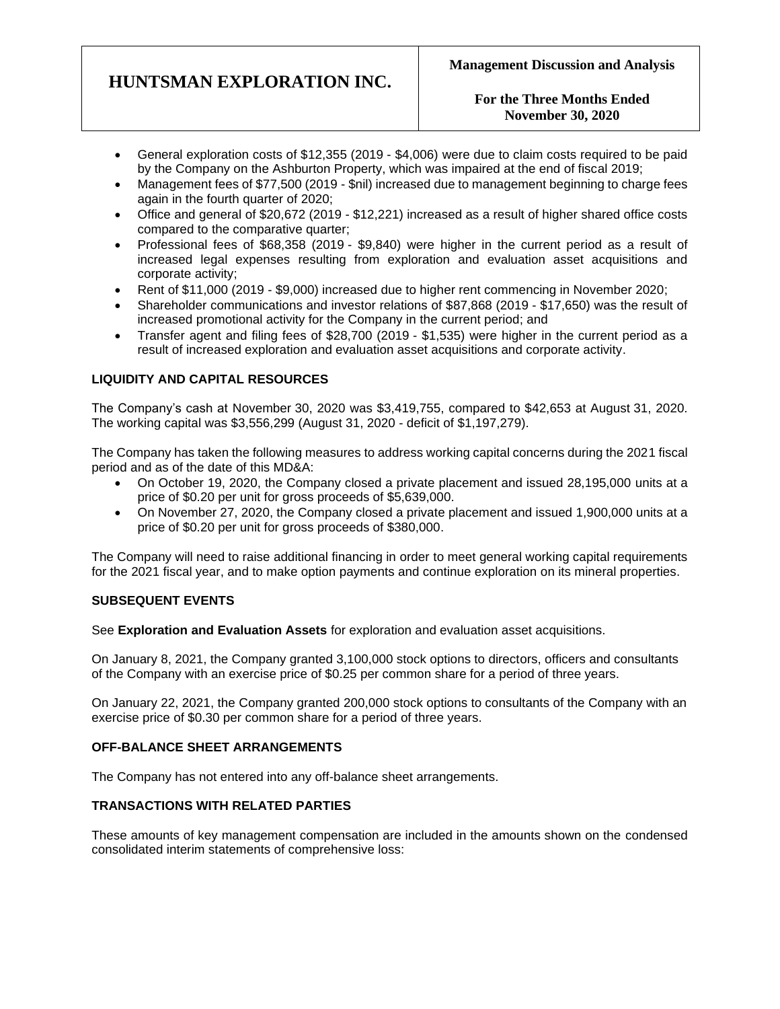## **For the Three Months Ended November 30, 2020**

- General exploration costs of \$12,355 (2019 \$4,006) were due to claim costs required to be paid by the Company on the Ashburton Property, which was impaired at the end of fiscal 2019;
- Management fees of \$77,500 (2019 \$nil) increased due to management beginning to charge fees again in the fourth quarter of 2020;
- Office and general of \$20,672 (2019 \$12,221) increased as a result of higher shared office costs compared to the comparative quarter;
- Professional fees of \$68,358 (2019 \$9,840) were higher in the current period as a result of increased legal expenses resulting from exploration and evaluation asset acquisitions and corporate activity;
- Rent of \$11,000 (2019 \$9,000) increased due to higher rent commencing in November 2020;
- Shareholder communications and investor relations of \$87,868 (2019 \$17,650) was the result of increased promotional activity for the Company in the current period; and
- Transfer agent and filing fees of \$28,700 (2019 \$1,535) were higher in the current period as a result of increased exploration and evaluation asset acquisitions and corporate activity.

# **LIQUIDITY AND CAPITAL RESOURCES**

The Company's cash at November 30, 2020 was \$3,419,755, compared to \$42,653 at August 31, 2020. The working capital was \$3,556,299 (August 31, 2020 - deficit of \$1,197,279).

The Company has taken the following measures to address working capital concerns during the 2021 fiscal period and as of the date of this MD&A:

- On October 19, 2020, the Company closed a private placement and issued 28,195,000 units at a price of \$0.20 per unit for gross proceeds of \$5,639,000.
- On November 27, 2020, the Company closed a private placement and issued 1,900,000 units at a price of \$0.20 per unit for gross proceeds of \$380,000.

The Company will need to raise additional financing in order to meet general working capital requirements for the 2021 fiscal year, and to make option payments and continue exploration on its mineral properties.

## **SUBSEQUENT EVENTS**

See **Exploration and Evaluation Assets** for exploration and evaluation asset acquisitions.

On January 8, 2021, the Company granted 3,100,000 stock options to directors, officers and consultants of the Company with an exercise price of \$0.25 per common share for a period of three years.

On January 22, 2021, the Company granted 200,000 stock options to consultants of the Company with an exercise price of \$0.30 per common share for a period of three years.

#### **OFF-BALANCE SHEET ARRANGEMENTS**

The Company has not entered into any off-balance sheet arrangements.

### **TRANSACTIONS WITH RELATED PARTIES**

These amounts of key management compensation are included in the amounts shown on the condensed consolidated interim statements of comprehensive loss: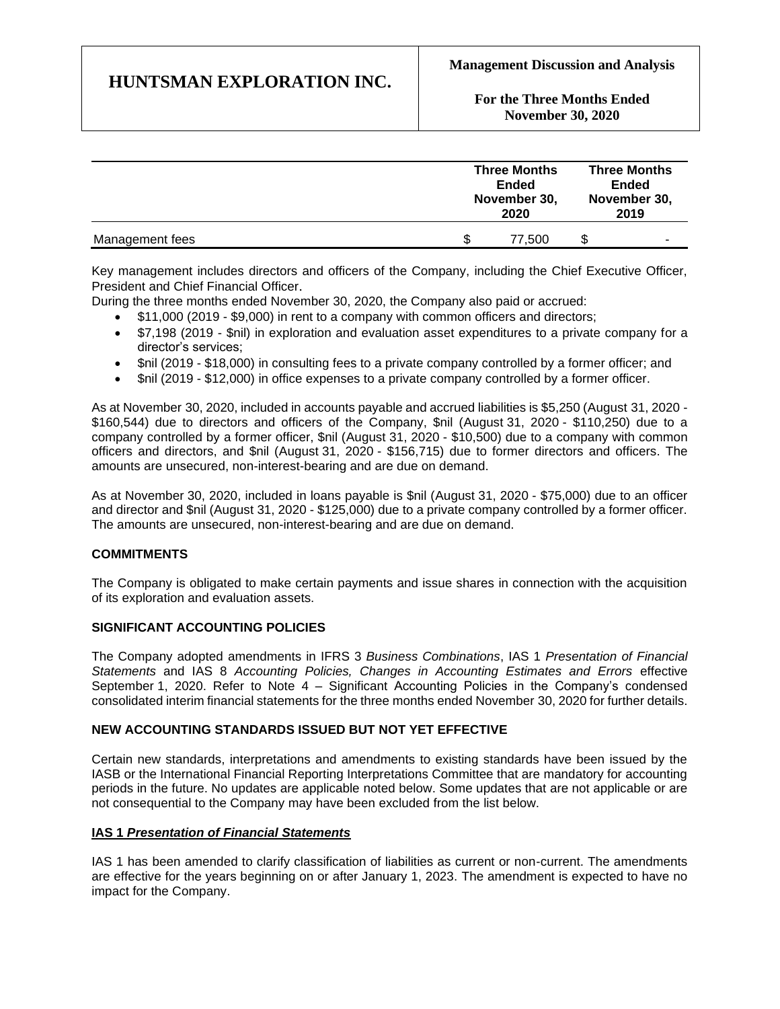**For the Three Months Ended November 30, 2020**

|                 | <b>Three Months</b><br><b>Ended</b><br>November 30,<br>2020 |        | <b>Three Months</b><br>Ended<br>November 30,<br>2019 |  |
|-----------------|-------------------------------------------------------------|--------|------------------------------------------------------|--|
| Management fees |                                                             | 77.500 | -                                                    |  |

Key management includes directors and officers of the Company, including the Chief Executive Officer, President and Chief Financial Officer.

During the three months ended November 30, 2020, the Company also paid or accrued:

- \$11,000 (2019 \$9,000) in rent to a company with common officers and directors;
- \$7,198 (2019 \$nil) in exploration and evaluation asset expenditures to a private company for a director's services;
- Snil (2019 \$18,000) in consulting fees to a private company controlled by a former officer; and
- \$nil (2019 \$12,000) in office expenses to a private company controlled by a former officer.

As at November 30, 2020, included in accounts payable and accrued liabilities is \$5,250 (August 31, 2020 - \$160,544) due to directors and officers of the Company, \$nil (August 31, 2020 - \$110,250) due to a company controlled by a former officer, \$nil (August 31, 2020 - \$10,500) due to a company with common officers and directors, and \$nil (August 31, 2020 - \$156,715) due to former directors and officers. The amounts are unsecured, non-interest-bearing and are due on demand.

As at November 30, 2020, included in loans payable is \$nil (August 31, 2020 - \$75,000) due to an officer and director and \$nil (August 31, 2020 - \$125,000) due to a private company controlled by a former officer. The amounts are unsecured, non-interest-bearing and are due on demand.

## **COMMITMENTS**

The Company is obligated to make certain payments and issue shares in connection with the acquisition of its exploration and evaluation assets.

## **SIGNIFICANT ACCOUNTING POLICIES**

The Company adopted amendments in IFRS 3 *Business Combinations*, IAS 1 *Presentation of Financial Statements* and IAS 8 *Accounting Policies, Changes in Accounting Estimates and Errors* effective September 1, 2020. Refer to Note 4 – Significant Accounting Policies in the Company's condensed consolidated interim financial statements for the three months ended November 30, 2020 for further details.

#### **NEW ACCOUNTING STANDARDS ISSUED BUT NOT YET EFFECTIVE**

Certain new standards, interpretations and amendments to existing standards have been issued by the IASB or the International Financial Reporting Interpretations Committee that are mandatory for accounting periods in the future. No updates are applicable noted below. Some updates that are not applicable or are not consequential to the Company may have been excluded from the list below.

#### **IAS 1** *Presentation of Financial Statements*

IAS 1 has been amended to clarify classification of liabilities as current or non-current. The amendments are effective for the years beginning on or after January 1, 2023. The amendment is expected to have no impact for the Company.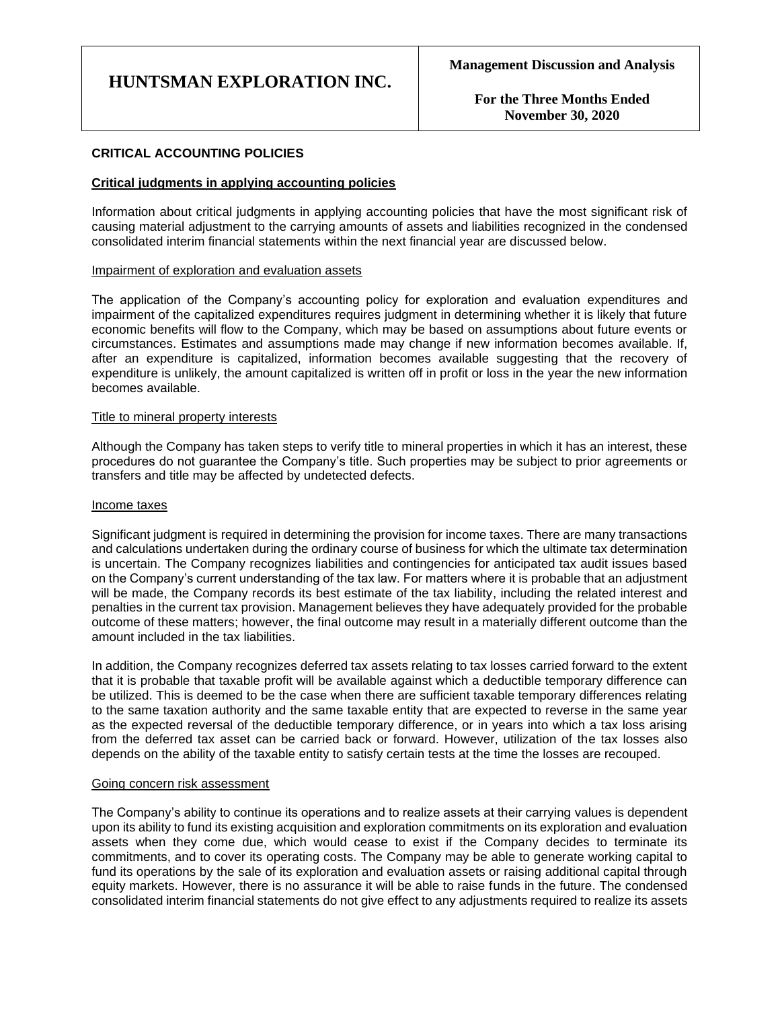**For the Three Months Ended November 30, 2020**

### **CRITICAL ACCOUNTING POLICIES**

#### **Critical judgments in applying accounting policies**

Information about critical judgments in applying accounting policies that have the most significant risk of causing material adjustment to the carrying amounts of assets and liabilities recognized in the condensed consolidated interim financial statements within the next financial year are discussed below.

#### Impairment of exploration and evaluation assets

The application of the Company's accounting policy for exploration and evaluation expenditures and impairment of the capitalized expenditures requires judgment in determining whether it is likely that future economic benefits will flow to the Company, which may be based on assumptions about future events or circumstances. Estimates and assumptions made may change if new information becomes available. If, after an expenditure is capitalized, information becomes available suggesting that the recovery of expenditure is unlikely, the amount capitalized is written off in profit or loss in the year the new information becomes available.

#### Title to mineral property interests

Although the Company has taken steps to verify title to mineral properties in which it has an interest, these procedures do not guarantee the Company's title. Such properties may be subject to prior agreements or transfers and title may be affected by undetected defects.

#### Income taxes

Significant judgment is required in determining the provision for income taxes. There are many transactions and calculations undertaken during the ordinary course of business for which the ultimate tax determination is uncertain. The Company recognizes liabilities and contingencies for anticipated tax audit issues based on the Company's current understanding of the tax law. For matters where it is probable that an adjustment will be made, the Company records its best estimate of the tax liability, including the related interest and penalties in the current tax provision. Management believes they have adequately provided for the probable outcome of these matters; however, the final outcome may result in a materially different outcome than the amount included in the tax liabilities.

In addition, the Company recognizes deferred tax assets relating to tax losses carried forward to the extent that it is probable that taxable profit will be available against which a deductible temporary difference can be utilized. This is deemed to be the case when there are sufficient taxable temporary differences relating to the same taxation authority and the same taxable entity that are expected to reverse in the same year as the expected reversal of the deductible temporary difference, or in years into which a tax loss arising from the deferred tax asset can be carried back or forward. However, utilization of the tax losses also depends on the ability of the taxable entity to satisfy certain tests at the time the losses are recouped.

#### Going concern risk assessment

The Company's ability to continue its operations and to realize assets at their carrying values is dependent upon its ability to fund its existing acquisition and exploration commitments on its exploration and evaluation assets when they come due, which would cease to exist if the Company decides to terminate its commitments, and to cover its operating costs. The Company may be able to generate working capital to fund its operations by the sale of its exploration and evaluation assets or raising additional capital through equity markets. However, there is no assurance it will be able to raise funds in the future. The condensed consolidated interim financial statements do not give effect to any adjustments required to realize its assets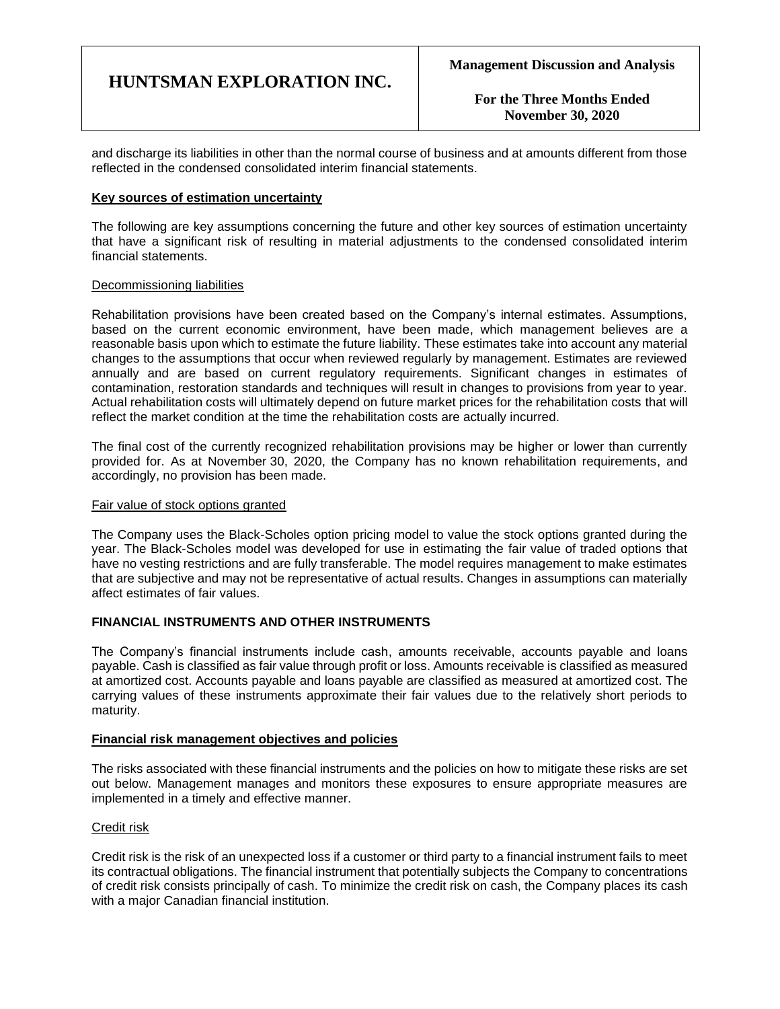**For the Three Months Ended November 30, 2020**

and discharge its liabilities in other than the normal course of business and at amounts different from those reflected in the condensed consolidated interim financial statements.

#### **Key sources of estimation uncertainty**

The following are key assumptions concerning the future and other key sources of estimation uncertainty that have a significant risk of resulting in material adjustments to the condensed consolidated interim financial statements.

#### Decommissioning liabilities

Rehabilitation provisions have been created based on the Company's internal estimates. Assumptions, based on the current economic environment, have been made, which management believes are a reasonable basis upon which to estimate the future liability. These estimates take into account any material changes to the assumptions that occur when reviewed regularly by management. Estimates are reviewed annually and are based on current regulatory requirements. Significant changes in estimates of contamination, restoration standards and techniques will result in changes to provisions from year to year. Actual rehabilitation costs will ultimately depend on future market prices for the rehabilitation costs that will reflect the market condition at the time the rehabilitation costs are actually incurred.

The final cost of the currently recognized rehabilitation provisions may be higher or lower than currently provided for. As at November 30, 2020, the Company has no known rehabilitation requirements, and accordingly, no provision has been made.

#### Fair value of stock options granted

The Company uses the Black-Scholes option pricing model to value the stock options granted during the year. The Black-Scholes model was developed for use in estimating the fair value of traded options that have no vesting restrictions and are fully transferable. The model requires management to make estimates that are subjective and may not be representative of actual results. Changes in assumptions can materially affect estimates of fair values.

#### **FINANCIAL INSTRUMENTS AND OTHER INSTRUMENTS**

The Company's financial instruments include cash, amounts receivable, accounts payable and loans payable. Cash is classified as fair value through profit or loss. Amounts receivable is classified as measured at amortized cost. Accounts payable and loans payable are classified as measured at amortized cost. The carrying values of these instruments approximate their fair values due to the relatively short periods to maturity.

### **Financial risk management objectives and policies**

The risks associated with these financial instruments and the policies on how to mitigate these risks are set out below. Management manages and monitors these exposures to ensure appropriate measures are implemented in a timely and effective manner.

#### Credit risk

Credit risk is the risk of an unexpected loss if a customer or third party to a financial instrument fails to meet its contractual obligations. The financial instrument that potentially subjects the Company to concentrations of credit risk consists principally of cash. To minimize the credit risk on cash, the Company places its cash with a major Canadian financial institution.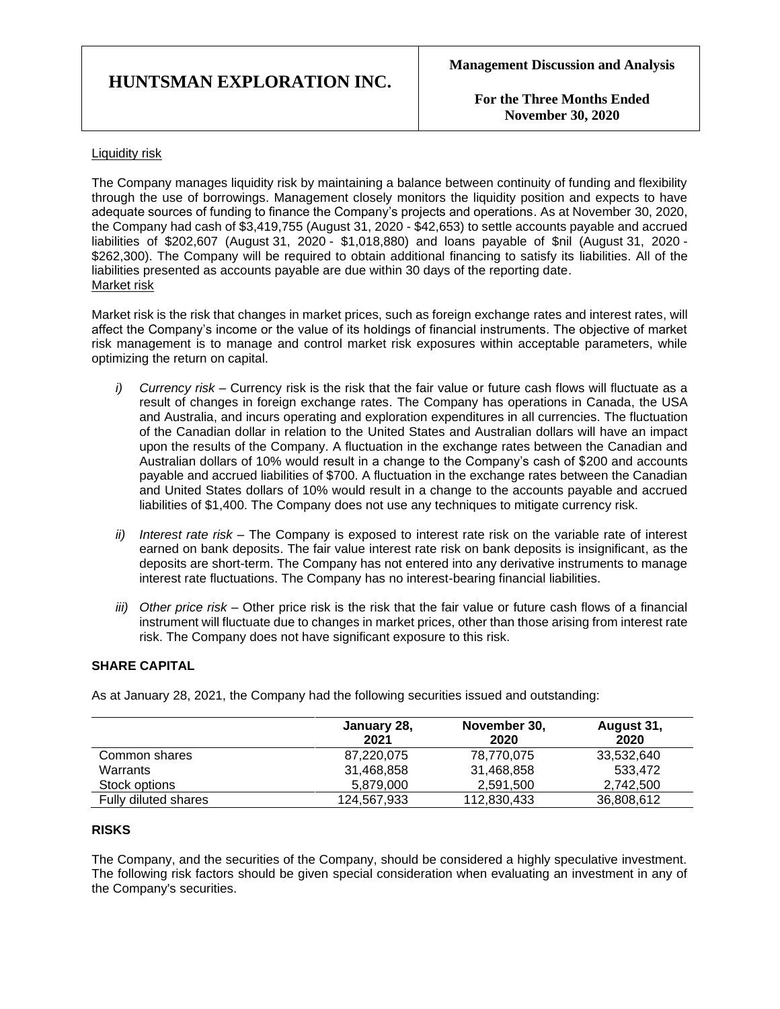**For the Three Months Ended November 30, 2020**

#### Liquidity risk

The Company manages liquidity risk by maintaining a balance between continuity of funding and flexibility through the use of borrowings. Management closely monitors the liquidity position and expects to have adequate sources of funding to finance the Company's projects and operations. As at November 30, 2020, the Company had cash of \$3,419,755 (August 31, 2020 - \$42,653) to settle accounts payable and accrued liabilities of \$202,607 (August 31, 2020 - \$1,018,880) and loans payable of \$nil (August 31, 2020 - \$262,300). The Company will be required to obtain additional financing to satisfy its liabilities. All of the liabilities presented as accounts payable are due within 30 days of the reporting date. Market risk

Market risk is the risk that changes in market prices, such as foreign exchange rates and interest rates, will affect the Company's income or the value of its holdings of financial instruments. The objective of market risk management is to manage and control market risk exposures within acceptable parameters, while optimizing the return on capital.

- *i) Currency risk –* Currency risk is the risk that the fair value or future cash flows will fluctuate as a result of changes in foreign exchange rates. The Company has operations in Canada, the USA and Australia, and incurs operating and exploration expenditures in all currencies. The fluctuation of the Canadian dollar in relation to the United States and Australian dollars will have an impact upon the results of the Company. A fluctuation in the exchange rates between the Canadian and Australian dollars of 10% would result in a change to the Company's cash of \$200 and accounts payable and accrued liabilities of \$700. A fluctuation in the exchange rates between the Canadian and United States dollars of 10% would result in a change to the accounts payable and accrued liabilities of \$1,400. The Company does not use any techniques to mitigate currency risk.
- *ii) Interest rate risk –* The Company is exposed to interest rate risk on the variable rate of interest earned on bank deposits. The fair value interest rate risk on bank deposits is insignificant, as the deposits are short-term. The Company has not entered into any derivative instruments to manage interest rate fluctuations. The Company has no interest-bearing financial liabilities.
- *iii) Other price risk –* Other price risk is the risk that the fair value or future cash flows of a financial instrument will fluctuate due to changes in market prices, other than those arising from interest rate risk. The Company does not have significant exposure to this risk.

## **SHARE CAPITAL**

As at January 28, 2021, the Company had the following securities issued and outstanding:

|                      | January 28,<br>2021 | November 30,<br>2020 | August 31,<br>2020 |
|----------------------|---------------------|----------------------|--------------------|
| Common shares        | 87,220,075          | 78,770,075           | 33,532,640         |
| Warrants             | 31,468,858          | 31,468,858           | 533.472            |
| Stock options        | 5.879.000           | 2.591.500            | 2.742.500          |
| Fully diluted shares | 124,567,933         | 112,830,433          | 36,808,612         |

#### **RISKS**

The Company, and the securities of the Company, should be considered a highly speculative investment. The following risk factors should be given special consideration when evaluating an investment in any of the Company's securities.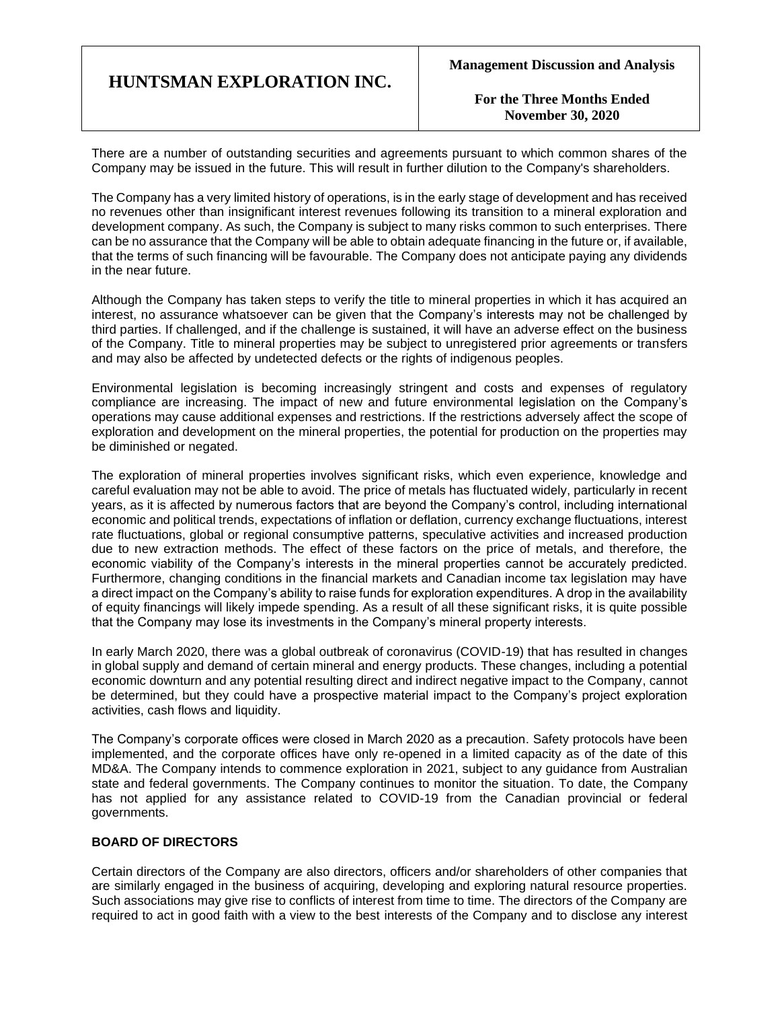**For the Three Months Ended November 30, 2020**

There are a number of outstanding securities and agreements pursuant to which common shares of the Company may be issued in the future. This will result in further dilution to the Company's shareholders.

The Company has a very limited history of operations, is in the early stage of development and has received no revenues other than insignificant interest revenues following its transition to a mineral exploration and development company. As such, the Company is subject to many risks common to such enterprises. There can be no assurance that the Company will be able to obtain adequate financing in the future or, if available, that the terms of such financing will be favourable. The Company does not anticipate paying any dividends in the near future.

Although the Company has taken steps to verify the title to mineral properties in which it has acquired an interest, no assurance whatsoever can be given that the Company's interests may not be challenged by third parties. If challenged, and if the challenge is sustained, it will have an adverse effect on the business of the Company. Title to mineral properties may be subject to unregistered prior agreements or transfers and may also be affected by undetected defects or the rights of indigenous peoples.

Environmental legislation is becoming increasingly stringent and costs and expenses of regulatory compliance are increasing. The impact of new and future environmental legislation on the Company's operations may cause additional expenses and restrictions. If the restrictions adversely affect the scope of exploration and development on the mineral properties, the potential for production on the properties may be diminished or negated.

The exploration of mineral properties involves significant risks, which even experience, knowledge and careful evaluation may not be able to avoid. The price of metals has fluctuated widely, particularly in recent years, as it is affected by numerous factors that are beyond the Company's control, including international economic and political trends, expectations of inflation or deflation, currency exchange fluctuations, interest rate fluctuations, global or regional consumptive patterns, speculative activities and increased production due to new extraction methods. The effect of these factors on the price of metals, and therefore, the economic viability of the Company's interests in the mineral properties cannot be accurately predicted. Furthermore, changing conditions in the financial markets and Canadian income tax legislation may have a direct impact on the Company's ability to raise funds for exploration expenditures. A drop in the availability of equity financings will likely impede spending. As a result of all these significant risks, it is quite possible that the Company may lose its investments in the Company's mineral property interests.

In early March 2020, there was a global outbreak of coronavirus (COVID-19) that has resulted in changes in global supply and demand of certain mineral and energy products. These changes, including a potential economic downturn and any potential resulting direct and indirect negative impact to the Company, cannot be determined, but they could have a prospective material impact to the Company's project exploration activities, cash flows and liquidity.

The Company's corporate offices were closed in March 2020 as a precaution. Safety protocols have been implemented, and the corporate offices have only re-opened in a limited capacity as of the date of this MD&A. The Company intends to commence exploration in 2021, subject to any guidance from Australian state and federal governments. The Company continues to monitor the situation. To date, the Company has not applied for any assistance related to COVID-19 from the Canadian provincial or federal governments.

### **BOARD OF DIRECTORS**

Certain directors of the Company are also directors, officers and/or shareholders of other companies that are similarly engaged in the business of acquiring, developing and exploring natural resource properties. Such associations may give rise to conflicts of interest from time to time. The directors of the Company are required to act in good faith with a view to the best interests of the Company and to disclose any interest